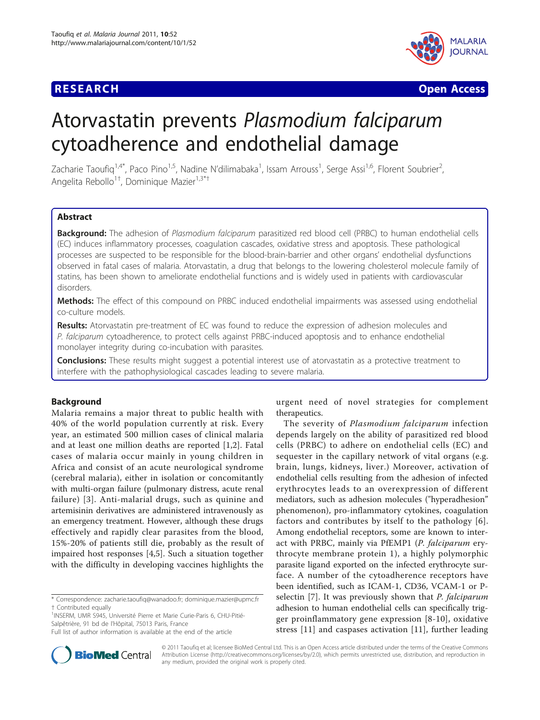## **RESEARCH CONTROL** CONTROL CONTROL CONTROL CONTROL CONTROL CONTROL CONTROL CONTROL CONTROL CONTROL CONTROL CONTROL



# Atorvastatin prevents Plasmodium falciparum cytoadherence and endothelial damage

Zacharie Taoufiq<sup>1,4\*</sup>, Paco Pino<sup>1,5</sup>, Nadine N'dilimabaka<sup>1</sup>, Issam Arrouss<sup>1</sup>, Serge Assi<sup>1,6</sup>, Florent Soubrier<sup>2</sup> , Angelita Rebollo<sup>1†</sup>, Dominique Mazier<sup>1,3\*†</sup>

## Abstract

Background: The adhesion of Plasmodium falciparum parasitized red blood cell (PRBC) to human endothelial cells (EC) induces inflammatory processes, coagulation cascades, oxidative stress and apoptosis. These pathological processes are suspected to be responsible for the blood-brain-barrier and other organs' endothelial dysfunctions observed in fatal cases of malaria. Atorvastatin, a drug that belongs to the lowering cholesterol molecule family of statins, has been shown to ameliorate endothelial functions and is widely used in patients with cardiovascular disorders.

Methods: The effect of this compound on PRBC induced endothelial impairments was assessed using endothelial co-culture models.

Results: Atorvastatin pre-treatment of EC was found to reduce the expression of adhesion molecules and P. falciparum cytoadherence, to protect cells against PRBC-induced apoptosis and to enhance endothelial monolayer integrity during co-incubation with parasites.

**Conclusions:** These results might suggest a potential interest use of atorvastatin as a protective treatment to interfere with the pathophysiological cascades leading to severe malaria.

#### Background

Malaria remains a major threat to public health with 40% of the world population currently at risk. Every year, an estimated 500 million cases of clinical malaria and at least one million deaths are reported [\[1](#page-6-0),[2\]](#page-6-0). Fatal cases of malaria occur mainly in young children in Africa and consist of an acute neurological syndrome (cerebral malaria), either in isolation or concomitantly with multi-organ failure (pulmonary distress, acute renal failure) [[3](#page-7-0)]. Anti-malarial drugs, such as quinine and artemisinin derivatives are administered intravenously as an emergency treatment. However, although these drugs effectively and rapidly clear parasites from the blood, 15%-20% of patients still die, probably as the result of impaired host responses [\[4](#page-7-0),[5\]](#page-7-0). Such a situation together with the difficulty in developing vaccines highlights the

\* Correspondence: [zacharie.taoufiq@wanadoo.fr](mailto:zacharie.taoufiq@wanadoo.fr); [dominique.mazier@upmc.fr](mailto:dominique.mazier@upmc.fr) † Contributed equally <sup>1</sup>

<sup>1</sup>INSERM, UMR S945, Université Pierre et Marie Curie-Paris 6, CHU-Pitié-Salpêtrière, 91 bd de l'Hôpital, 75013 Paris, France



The severity of Plasmodium falciparum infection depends largely on the ability of parasitized red blood cells (PRBC) to adhere on endothelial cells (EC) and sequester in the capillary network of vital organs (e.g. brain, lungs, kidneys, liver.) Moreover, activation of endothelial cells resulting from the adhesion of infected erythrocytes leads to an overexpression of different mediators, such as adhesion molecules ("hyperadhesion" phenomenon), pro-inflammatory cytokines, coagulation factors and contributes by itself to the pathology [[6\]](#page-7-0). Among endothelial receptors, some are known to interact with PRBC, mainly via PfEMP1 (P. falciparum erythrocyte membrane protein 1), a highly polymorphic parasite ligand exported on the infected erythrocyte surface. A number of the cytoadherence receptors have been identified, such as ICAM-1, CD36, VCAM-1 or P-selectin [[7\]](#page-7-0). It was previously shown that *P. falciparum* adhesion to human endothelial cells can specifically trigger proinflammatory gene expression [[8](#page-7-0)-[10](#page-7-0)], oxidative stress [[11\]](#page-7-0) and caspases activation [[11\]](#page-7-0), further leading



© 2011 Taoufiq et al; licensee BioMed Central Ltd. This is an Open Access article distributed under the terms of the Creative Commons Attribution License [\(http://creativecommons.org/licenses/by/2.0](http://creativecommons.org/licenses/by/2.0)), which permits unrestricted use, distribution, and reproduction in any medium, provided the original work is properly cited.

Full list of author information is available at the end of the article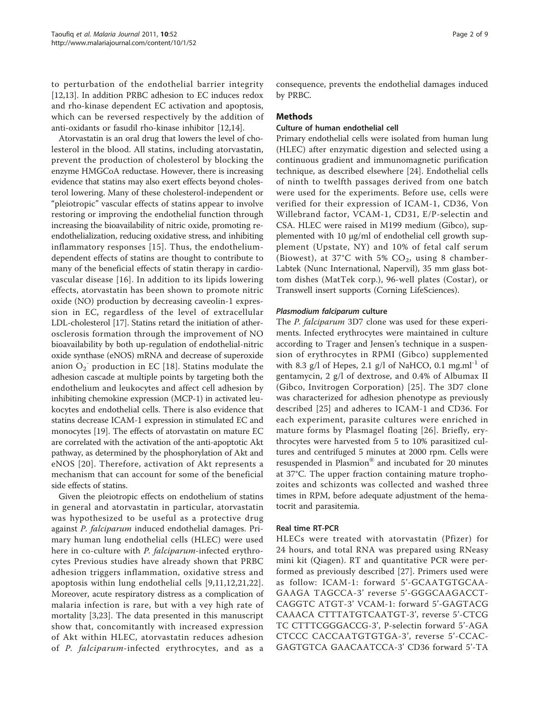to perturbation of the endothelial barrier integrity [[12,13\]](#page-7-0). In addition PRBC adhesion to EC induces redox and rho-kinase dependent EC activation and apoptosis, which can be reversed respectively by the addition of anti-oxidants or fasudil rho-kinase inhibitor [[12,14\]](#page-7-0).

Atorvastatin is an oral drug that lowers the level of cholesterol in the blood. All statins, including atorvastatin, prevent the production of cholesterol by blocking the enzyme HMGCoA reductase. However, there is increasing evidence that statins may also exert effects beyond cholesterol lowering. Many of these cholesterol-independent or "pleiotropic" vascular effects of statins appear to involve restoring or improving the endothelial function through increasing the bioavailability of nitric oxide, promoting reendothelialization, reducing oxidative stress, and inhibiting inflammatory responses [[15\]](#page-7-0). Thus, the endotheliumdependent effects of statins are thought to contribute to many of the beneficial effects of statin therapy in cardiovascular disease [[16\]](#page-7-0). In addition to its lipids lowering effects, atorvastatin has been shown to promote nitric oxide (NO) production by decreasing caveolin-1 expression in EC, regardless of the level of extracellular LDL-cholesterol [[17](#page-7-0)]. Statins retard the initiation of atherosclerosis formation through the improvement of NO bioavailability by both up-regulation of endothelial-nitric oxide synthase (eNOS) mRNA and decrease of superoxide anion  $O_2$ <sup>-</sup> production in EC [[18](#page-7-0)]. Statins modulate the adhesion cascade at multiple points by targeting both the endothelium and leukocytes and affect cell adhesion by inhibiting chemokine expression (MCP-1) in activated leukocytes and endothelial cells. There is also evidence that statins decrease ICAM-1 expression in stimulated EC and monocytes [\[19](#page-7-0)]. The effects of atorvastatin on mature EC are correlated with the activation of the anti-apoptotic Akt pathway, as determined by the phosphorylation of Akt and eNOS [[20](#page-7-0)]. Therefore, activation of Akt represents a mechanism that can account for some of the beneficial side effects of statins.

Given the pleiotropic effects on endothelium of statins in general and atorvastatin in particular, atorvastatin was hypothesized to be useful as a protective drug against P. falciparum induced endothelial damages. Primary human lung endothelial cells (HLEC) were used here in co-culture with P. falciparum-infected erythrocytes Previous studies have already shown that PRBC adhesion triggers inflammation, oxidative stress and apoptosis within lung endothelial cells [[9,11](#page-7-0),[12,21](#page-7-0),[22](#page-7-0)]. Moreover, acute respiratory distress as a complication of malaria infection is rare, but with a vey high rate of mortality [[3,23\]](#page-7-0). The data presented in this manuscript show that, concomitantly with increased expression of Akt within HLEC, atorvastatin reduces adhesion of P. falciparum-infected erythrocytes, and as a consequence, prevents the endothelial damages induced by PRBC.

## Methods

#### Culture of human endothelial cell

Primary endothelial cells were isolated from human lung (HLEC) after enzymatic digestion and selected using a continuous gradient and immunomagnetic purification technique, as described elsewhere [[24\]](#page-7-0). Endothelial cells of ninth to twelfth passages derived from one batch were used for the experiments. Before use, cells were verified for their expression of ICAM-1, CD36, Von Willebrand factor, VCAM-1, CD31, E/P-selectin and CSA. HLEC were raised in M199 medium (Gibco), supplemented with 10 μg/ml of endothelial cell growth supplement (Upstate, NY) and 10% of fetal calf serum (Biowest), at 37°C with 5%  $CO<sub>2</sub>$ , using 8 chamber-Labtek (Nunc International, Napervil), 35 mm glass bottom dishes (MatTek corp.), 96-well plates (Costar), or Transwell insert supports (Corning LifeSciences).

#### Plasmodium falciparum culture

The *P. falciparum* 3D7 clone was used for these experiments. Infected erythrocytes were maintained in culture according to Trager and Jensen's technique in a suspension of erythrocytes in RPMI (Gibco) supplemented with 8.3 g/l of Hepes, 2.1 g/l of NaHCO, 0.1 mg.ml<sup>-1</sup> of gentamycin, 2 g/l of dextrose, and 0.4% of Albumax II (Gibco, Invitrogen Corporation) [[25\]](#page-7-0). The 3D7 clone was characterized for adhesion phenotype as previously described [[25](#page-7-0)] and adheres to ICAM-1 and CD36. For each experiment, parasite cultures were enriched in mature forms by Plasmagel floating [[26](#page-7-0)]. Briefly, erythrocytes were harvested from 5 to 10% parasitized cultures and centrifuged 5 minutes at 2000 rpm. Cells were resuspended in Plasmion® and incubated for 20 minutes at 37°C. The upper fraction containing mature trophozoites and schizonts was collected and washed three times in RPM, before adequate adjustment of the hematocrit and parasitemia.

#### Real time RT-PCR

HLECs were treated with atorvastatin (Pfizer) for 24 hours, and total RNA was prepared using RNeasy mini kit (Qiagen). RT and quantitative PCR were performed as previously described [[27\]](#page-7-0). Primers used were as follow: ICAM-1: forward 5'-GCAATGTGCAA-GAAGA TAGCCA-3' reverse 5'-GGGCAAGACCT-CAGGTC ATGT-3' VCAM-1: forward 5'-GAGTACG CAAACA CTTTATGTCAATGT-3', reverse 5'-CTCG TC CTTTCGGGACCG-3', P-selectin forward 5'-AGA CTCCC CACCAATGTGTGA-3', reverse 5'-CCAC-GAGTGTCA GAACAATCCA-3' CD36 forward 5'-TA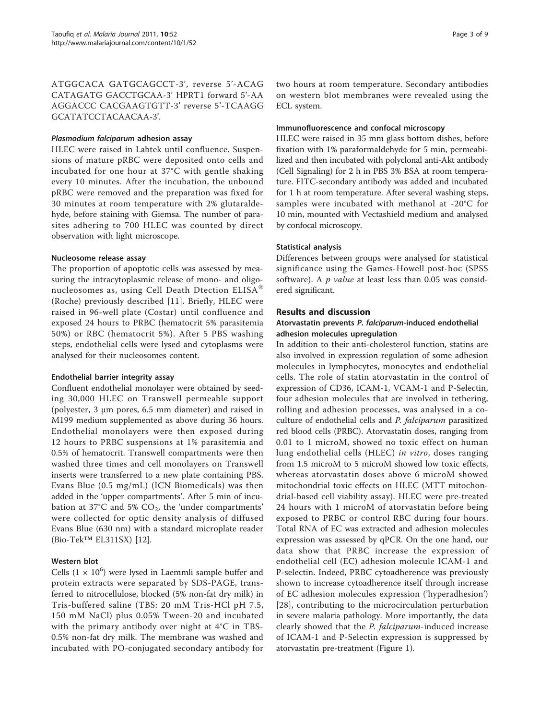ATGGCACA GATGCAGCCT-3', reverse 5'-ACAG CATAGATG GACCTGCAA-3' HPRT1 forward 5'-AA AGGACCC CACGAAGTGTT-3' reverse 5'-TCAAGG GCATATCCTACAACAA-3'.

#### Plasmodium falciparum adhesion assay

HLEC were raised in Labtek until confluence. Suspensions of mature pRBC were deposited onto cells and incubated for one hour at 37°C with gentle shaking every 10 minutes. After the incubation, the unbound pRBC were removed and the preparation was fixed for 30 minutes at room temperature with 2% glutaraldehyde, before staining with Giemsa. The number of parasites adhering to 700 HLEC was counted by direct observation with light microscope.

## Nucleosome release assay

The proportion of apoptotic cells was assessed by measuring the intracytoplasmic release of mono- and oligonucleosomes as, using Cell Death Dtection ELISA® (Roche) previously described [[11](#page-7-0)]. Briefly, HLEC were raised in 96-well plate (Costar) until confluence and exposed 24 hours to PRBC (hematocrit 5% parasitemia 50%) or RBC (hematocrit 5%). After 5 PBS washing steps, endothelial cells were lysed and cytoplasms were analysed for their nucleosomes content.

## Endothelial barrier integrity assay

Confluent endothelial monolayer were obtained by seeding 30,000 HLEC on Transwell permeable support (polyester, 3 μm pores, 6.5 mm diameter) and raised in M199 medium supplemented as above during 36 hours. Endothelial monolayers were then exposed during 12 hours to PRBC suspensions at 1% parasitemia and 0.5% of hematocrit. Transwell compartments were then washed three times and cell monolayers on Transwell inserts were transferred to a new plate containing PBS. Evans Blue (0.5 mg/mL) (ICN Biomedicals) was then added in the 'upper compartments'. After 5 min of incubation at 37°C and 5%  $CO<sub>2</sub>$ , the 'under compartments' were collected for optic density analysis of diffused Evans Blue (630 nm) with a standard microplate reader (Bio-Tek™ EL311SX) [\[12](#page-7-0)].

## Western blot

Cells  $(1 \times 10^6)$  were lysed in Laemmli sample buffer and protein extracts were separated by SDS-PAGE, transferred to nitrocellulose, blocked (5% non-fat dry milk) in Tris-buffered saline (TBS: 20 mM Tris-HCl pH 7.5, 150 mM NaCl) plus 0.05% Tween-20 and incubated with the primary antibody over night at 4°C in TBS-0.5% non-fat dry milk. The membrane was washed and incubated with PO-conjugated secondary antibody for

two hours at room temperature. Secondary antibodies on western blot membranes were revealed using the ECL system.

## Immunofluorescence and confocal microscopy

HLEC were raised in 35 mm glass bottom dishes, before fixation with 1% paraformaldehyde for 5 min, permeabilized and then incubated with polyclonal anti-Akt antibody (Cell Signaling) for 2 h in PBS 3% BSA at room temperature. FITC-secondary antibody was added and incubated for 1 h at room temperature. After several washing steps, samples were incubated with methanol at -20°C for 10 min, mounted with Vectashield medium and analysed by confocal microscopy.

## Statistical analysis

Differences between groups were analysed for statistical significance using the Games-Howell post-hoc (SPSS software). A  $p$  value at least less than 0.05 was considered significant.

## Results and discussion

## Atorvastatin prevents P. falciparum-induced endothelial adhesion molecules upregulation

In addition to their anti-cholesterol function, statins are also involved in expression regulation of some adhesion molecules in lymphocytes, monocytes and endothelial cells. The role of statin atorvastatin in the control of expression of CD36, ICAM-1, VCAM-1 and P-Selectin, four adhesion molecules that are involved in tethering, rolling and adhesion processes, was analysed in a coculture of endothelial cells and P. falciparum parasitized red blood cells (PRBC). Atorvastatin doses, ranging from 0.01 to 1 microM, showed no toxic effect on human lung endothelial cells (HLEC) in vitro, doses ranging from 1.5 microM to 5 microM showed low toxic effects, whereas atorvastatin doses above 6 microM showed mitochondrial toxic effects on HLEC (MTT mitochondrial-based cell viability assay). HLEC were pre-treated 24 hours with 1 microM of atorvastatin before being exposed to PRBC or control RBC during four hours. Total RNA of EC was extracted and adhesion molecules expression was assessed by qPCR. On the one hand, our data show that PRBC increase the expression of endothelial cell (EC) adhesion molecule ICAM-1 and P-selectin. Indeed, PRBC cytoadherence was previously shown to increase cytoadherence itself through increase of EC adhesion molecules expression ('hyperadhesion') [[28](#page-7-0)], contributing to the microcirculation perturbation in severe malaria pathology. More importantly, the data clearly showed that the P. falciparum-induced increase of ICAM-1 and P-Selectin expression is suppressed by atorvastatin pre-treatment (Figure [1](#page-3-0)).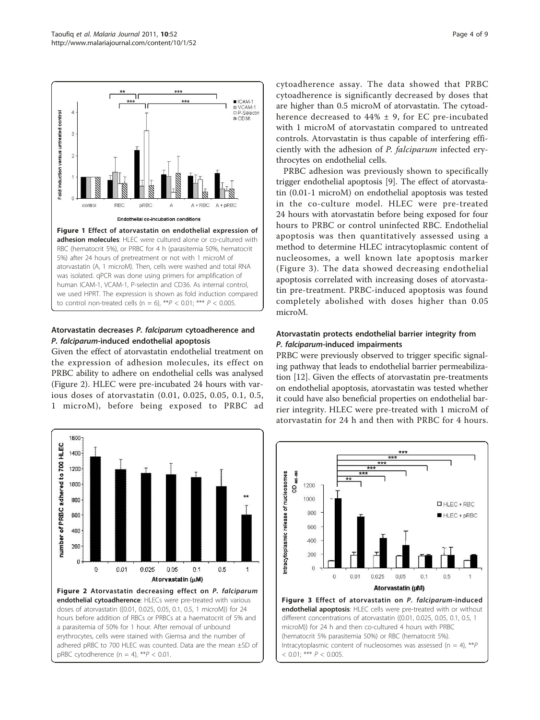<span id="page-3-0"></span>

## Atorvastatin decreases P. falciparum cytoadherence and P. falciparum-induced endothelial apoptosis

Given the effect of atorvastatin endothelial treatment on the expression of adhesion molecules, its effect on PRBC ability to adhere on endothelial cells was analysed (Figure 2). HLEC were pre-incubated 24 hours with various doses of atorvastatin (0.01, 0.025, 0.05, 0.1, 0.5, 1 microM), before being exposed to PRBC ad



pRBC cytodherence (n = 4), \*\* $P$  < 0.01.

cytoadherence assay. The data showed that PRBC cytoadherence is significantly decreased by doses that are higher than 0.5 microM of atorvastatin. The cytoadherence decreased to  $44\% \pm 9$ , for EC pre-incubated with 1 microM of atorvastatin compared to untreated controls. Atorvastatin is thus capable of interfering efficiently with the adhesion of P. falciparum infected erythrocytes on endothelial cells.

PRBC adhesion was previously shown to specifically trigger endothelial apoptosis [\[9](#page-7-0)]. The effect of atorvastatin (0.01-1 microM) on endothelial apoptosis was tested in the co-culture model. HLEC were pre-treated 24 hours with atorvastatin before being exposed for four hours to PRBC or control uninfected RBC. Endothelial apoptosis was then quantitatively assessed using a method to determine HLEC intracytoplasmic content of nucleosomes, a well known late apoptosis marker (Figure 3). The data showed decreasing endothelial apoptosis correlated with increasing doses of atorvastatin pre-treatment. PRBC-induced apoptosis was found completely abolished with doses higher than 0.05 microM.

## Atorvastatin protects endothelial barrier integrity from P. falciparum-induced impairments

PRBC were previously observed to trigger specific signaling pathway that leads to endothelial barrier permeabilization [[12\]](#page-7-0). Given the effects of atorvastatin pre-treatments on endothelial apoptosis, atorvastatin was tested whether it could have also beneficial properties on endothelial barrier integrity. HLEC were pre-treated with 1 microM of atorvastatin for 24 h and then with PRBC for 4 hours.

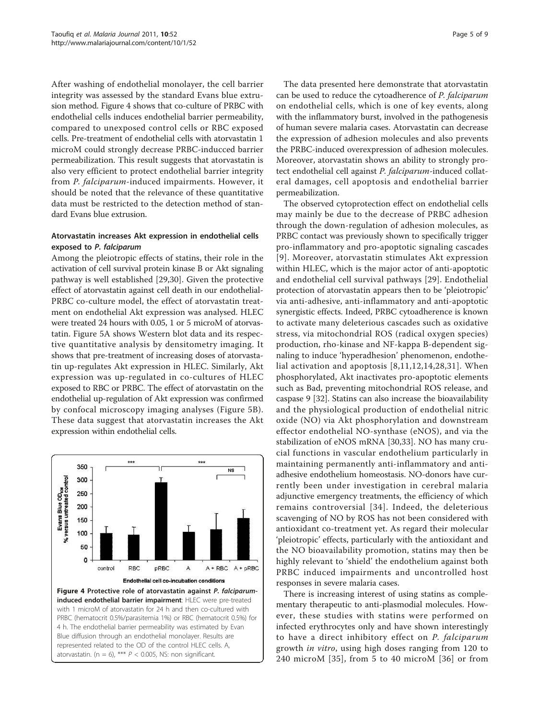After washing of endothelial monolayer, the cell barrier integrity was assessed by the standard Evans blue extrusion method. Figure 4 shows that co-culture of PRBC with endothelial cells induces endothelial barrier permeability, compared to unexposed control cells or RBC exposed cells. Pre-treatment of endothelial cells with atorvastatin 1 microM could strongly decrease PRBC-inducced barrier permeabilization. This result suggests that atorvastatin is also very efficient to protect endothelial barrier integrity from P. falciparum-induced impairments. However, it should be noted that the relevance of these quantitative data must be restricted to the detection method of standard Evans blue extrusion.

#### Atorvastatin increases Akt expression in endothelial cells exposed to P. falciparum

Among the pleiotropic effects of statins, their role in the activation of cell survival protein kinase B or Akt signaling pathway is well established [[29,30](#page-7-0)]. Given the protective effect of atorvastatin against cell death in our endothelial-PRBC co-culture model, the effect of atorvastatin treatment on endothelial Akt expression was analysed. HLEC were treated 24 hours with 0.05, 1 or 5 microM of atorvastatin. Figure [5A](#page-5-0) shows Western blot data and its respective quantitative analysis by densitometry imaging. It shows that pre-treatment of increasing doses of atorvastatin up-regulates Akt expression in HLEC. Similarly, Akt expression was up-regulated in co-cultures of HLEC exposed to RBC or PRBC. The effect of atorvastatin on the endothelial up-regulation of Akt expression was confirmed by confocal microscopy imaging analyses (Figure [5B\)](#page-5-0). These data suggest that atorvastatin increases the Akt expression within endothelial cells.



The data presented here demonstrate that atorvastatin can be used to reduce the cytoadherence of P. falciparum on endothelial cells, which is one of key events, along with the inflammatory burst, involved in the pathogenesis of human severe malaria cases. Atorvastatin can decrease the expression of adhesion molecules and also prevents the PRBC-induced overexpression of adhesion molecules. Moreover, atorvastatin shows an ability to strongly protect endothelial cell against P. falciparum-induced collateral damages, cell apoptosis and endothelial barrier permeabilization.

The observed cytoprotection effect on endothelial cells may mainly be due to the decrease of PRBC adhesion through the down-regulation of adhesion molecules, as PRBC contact was previously shown to specifically trigger pro-inflammatory and pro-apoptotic signaling cascades [[9](#page-7-0)]. Moreover, atorvastatin stimulates Akt expression within HLEC, which is the major actor of anti-apoptotic and endothelial cell survival pathways [[29\]](#page-7-0). Endothelial protection of atorvastatin appears then to be 'pleiotropic' via anti-adhesive, anti-inflammatory and anti-apoptotic synergistic effects. Indeed, PRBC cytoadherence is known to activate many deleterious cascades such as oxidative stress, via mitochondrial ROS (radical oxygen species) production, rho-kinase and NF-kappa B-dependent signaling to induce 'hyperadhesion' phenomenon, endothelial activation and apoptosis [[8](#page-7-0),[11,12,14,28,31\]](#page-7-0). When phosphorylated, Akt inactivates pro-apoptotic elements such as Bad, preventing mitochondrial ROS release, and caspase 9 [\[32](#page-7-0)]. Statins can also increase the bioavailability and the physiological production of endothelial nitric oxide (NO) via Akt phosphorylation and downstream effector endothelial NO-synthase (eNOS), and via the stabilization of eNOS mRNA [[30,33\]](#page-7-0). NO has many crucial functions in vascular endothelium particularly in maintaining permanently anti-inflammatory and antiadhesive endothelium homeostasis. NO-donors have currently been under investigation in cerebral malaria adjunctive emergency treatments, the efficiency of which remains controversial [[34](#page-7-0)]. Indeed, the deleterious scavenging of NO by ROS has not been considered with antioxidant co-treatment yet. As regard their molecular 'pleiotropic' effects, particularly with the antioxidant and the NO bioavailability promotion, statins may then be highly relevant to 'shield' the endothelium against both PRBC induced impairments and uncontrolled host responses in severe malaria cases.

There is increasing interest of using statins as complementary therapeutic to anti-plasmodial molecules. However, these studies with statins were performed on infected erythrocytes only and have shown interestingly to have a direct inhibitory effect on P. falciparum growth in vitro, using high doses ranging from 120 to 240 microM [[35](#page-7-0)], from 5 to 40 microM [\[36\]](#page-7-0) or from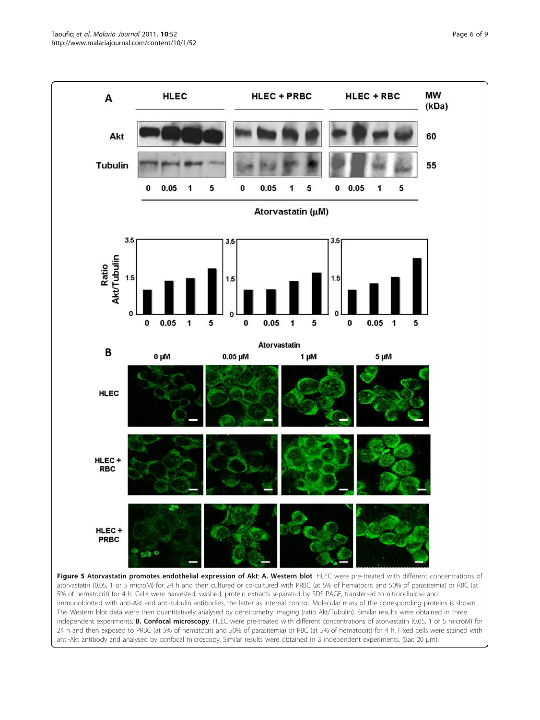<span id="page-5-0"></span>Taoufiq et al. Malaria Journal 2011, 10:52 http://www.malariajournal.com/content/10/1/52



atorvastatin (0.05, 1 or 5 microM) for 24 h and then cultured or co-cultured with PRBC (at 5% of hematocrit and 50% of parasitemia) or RBC (at 5% of hematocrit) for 4 h. Cells were harvested, washed, protein extracts separated by SDS-PAGE, transferred to nitrocellulose and immunoblotted with anti-Akt and anti-tubulin antibodies, the latter as internal control. Molecular mass of the corresponding proteins is shown. The Western blot data were then quantitatively analysed by densitometry imaging (ratio Akt/Tubulin). Similar results were obtained in three independent experiments. **B. Confocal microscopy**. HLEC were pre-treated with different concentrations of atorvastatin (0.05, 1 or 5 microM) for 24 h and then exposed to PRBC (at 5% of hematocrit and 50% of parasitemia) or RBC (at 5% of hematocrit) for 4 h. Fixed cells were stained with anti-Akt antibody and analysed by confocal microscopy. Similar results were obtained in 3 independent experiments. (Bar: 20 μm).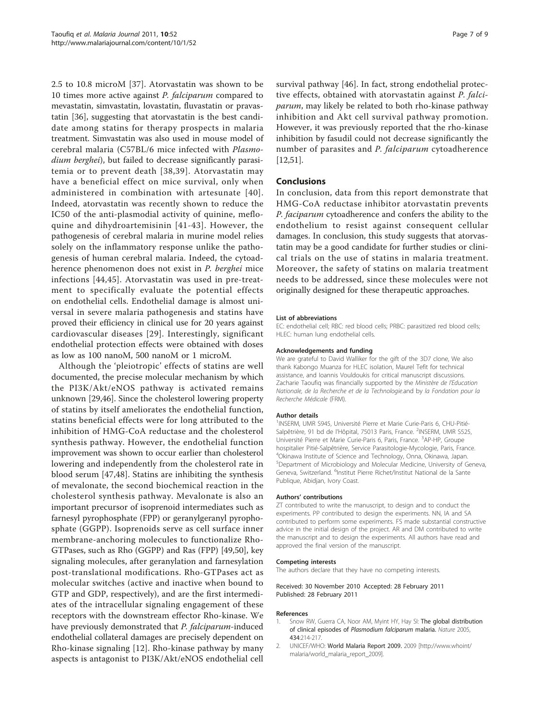<span id="page-6-0"></span>2.5 to 10.8 microM [[37\]](#page-7-0). Atorvastatin was shown to be 10 times more active against P. falciparum compared to mevastatin, simvastatin, lovastatin, fluvastatin or pravastatin [\[36](#page-7-0)], suggesting that atorvastatin is the best candidate among statins for therapy prospects in malaria treatment. Simvastatin was also used in mouse model of cerebral malaria (C57BL/6 mice infected with Plasmodium berghei), but failed to decrease significantly parasitemia or to prevent death [[38,39](#page-7-0)]. Atorvastatin may have a beneficial effect on mice survival, only when administered in combination with artesunate [[40\]](#page-7-0). Indeed, atorvastatin was recently shown to reduce the IC50 of the anti-plasmodial activity of quinine, mefloquine and dihydroartemisinin [[41](#page-7-0)-[43\]](#page-7-0). However, the pathogenesis of cerebral malaria in murine model relies solely on the inflammatory response unlike the pathogenesis of human cerebral malaria. Indeed, the cytoadherence phenomenon does not exist in P. berghei mice infections [[44,45\]](#page-7-0). Atorvastatin was used in pre-treatment to specifically evaluate the potential effects on endothelial cells. Endothelial damage is almost universal in severe malaria pathogenesis and statins have proved their efficiency in clinical use for 20 years against cardiovascular diseases [[29](#page-7-0)]. Interestingly, significant endothelial protection effects were obtained with doses as low as 100 nanoM, 500 nanoM or 1 microM.

Although the 'pleiotropic' effects of statins are well documented, the precise molecular mechanism by which the PI3K/Akt/eNOS pathway is activated remains unknown [[29,46\]](#page-7-0). Since the cholesterol lowering property of statins by itself ameliorates the endothelial function, statins beneficial effects were for long attributed to the inhibition of HMG-CoA reductase and the cholesterol synthesis pathway. However, the endothelial function improvement was shown to occur earlier than cholesterol lowering and independently from the cholesterol rate in blood serum [\[47,48\]](#page-8-0). Statins are inhibiting the synthesis of mevalonate, the second biochemical reaction in the cholesterol synthesis pathway. Mevalonate is also an important precursor of isoprenoid intermediates such as farnesyl pyrophosphate (FPP) or geranylgeranyl pyrophosphate (GGPP). Isoprenoids serve as cell surface inner membrane-anchoring molecules to functionalize Rho-GTPases, such as Rho (GGPP) and Ras (FPP) [[49,50\]](#page-8-0), key signaling molecules, after geranylation and farnesylation post-translational modifications. Rho-GTPases act as molecular switches (active and inactive when bound to GTP and GDP, respectively), and are the first intermediates of the intracellular signaling engagement of these receptors with the downstream effector Rho-kinase. We have previously demonstrated that P. falciparum-induced endothelial collateral damages are precisely dependent on Rho-kinase signaling [[12\]](#page-7-0). Rho-kinase pathway by many aspects is antagonist to PI3K/Akt/eNOS endothelial cell

survival pathway [[46](#page-7-0)]. In fact, strong endothelial protective effects, obtained with atorvastatin against P. falciparum, may likely be related to both rho-kinase pathway inhibition and Akt cell survival pathway promotion. However, it was previously reported that the rho-kinase inhibition by fasudil could not decrease significantly the number of parasites and P. falciparum cytoadherence [[12,](#page-7-0)[51\]](#page-8-0).

#### Conclusions

In conclusion, data from this report demonstrate that HMG-CoA reductase inhibitor atorvastatin prevents P. faciparum cytoadherence and confers the ability to the endothelium to resist against consequent cellular damages. In conclusion, this study suggests that atorvastatin may be a good candidate for further studies or clinical trials on the use of statins in malaria treatment. Moreover, the safety of statins on malaria treatment needs to be addressed, since these molecules were not originally designed for these therapeutic approaches.

#### List of abbreviations

EC: endothelial cell; RBC: red blood cells; PRBC: parasitized red blood cells; HLEC: human lung endothelial cells.

#### Acknowledgements and funding

We are grateful to David Walliker for the gift of the 3D7 clone, We also thank Kabongo Muanza for HLEC isolation, Maurel Tefit for technical assistance, and Ioannis Vouldoukis for critical manuscript discussions. Zacharie Taoufiq was financially supported by the Ministère de l'Education Nationale, de la Recherche et de la Technologie.and by la Fondation pour la Recherche Médicale (FRM).

#### Author details

<sup>1</sup>INSERM, UMR S945, Université Pierre et Marie Curie-Paris 6, CHU-Pitié-Salpêtrière, 91 bd de l'Hôpital, 75013 Paris, France. <sup>2</sup>INSERM, UMR S525 Université Pierre et Marie Curie-Paris 6, Paris, France. <sup>3</sup>AP-HP, Groupe hospitalier Pitié-Salpêtrière, Service Parasitologie-Mycologie, Paris, France. 4 Okinawa Institute of Science and Technology, Onna, Okinawa, Japan. 5 Department of Microbiology and Molecular Medicine, University of Geneva, Geneva, Switzerland. <sup>6</sup>Institut Pierre Richet/Institut National de la Sante Publique, Abidjan, Ivory Coast.

#### Authors' contributions

ZT contributed to write the manuscript, to design and to conduct the experiments. PP contributed to design the experiments. NN, IA and SA contributed to perform some experiments. FS made substantial constructive advice in the initial design of the project. AR and DM contributed to write the manuscript and to design the experiments. All authors have read and approved the final version of the manuscript.

#### Competing interests

The authors declare that they have no competing interests.

#### Received: 30 November 2010 Accepted: 28 February 2011 Published: 28 February 2011

#### References

- 1. Snow RW, Guerra CA, Noor AM, Myint HY, Hay SI: [The global distribution](http://www.ncbi.nlm.nih.gov/pubmed/15759000?dopt=Abstract) [of clinical episodes of](http://www.ncbi.nlm.nih.gov/pubmed/15759000?dopt=Abstract) Plasmodium falciparum malaria. Nature 2005, 434:214-217.
- 2. UNICEF/WHO: World Malaria Report 2009. 2009 [[http://www.whoint/](http://www.whoint/malaria/world_malaria_report_2009) [malaria/world\\_malaria\\_report\\_2009\]](http://www.whoint/malaria/world_malaria_report_2009).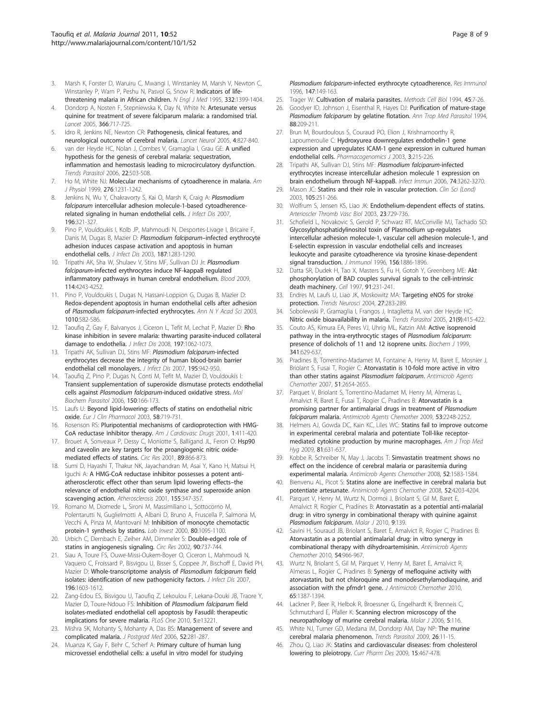- <span id="page-7-0"></span>3. Marsh K, Forster D, Waruiru C, Mwangi I, Winstanley M, Marsh V, Newton C, Winstanley P, Warn P, Peshu N, Pasvol G, Snow R: [Indicators of life](http://www.ncbi.nlm.nih.gov/pubmed/7723795?dopt=Abstract)[threatening malaria in African children.](http://www.ncbi.nlm.nih.gov/pubmed/7723795?dopt=Abstract) N Engl J Med 1995, 332:1399-1404.
- 4. Dondorp A, Nosten F, Stepniewska K, Day N, White N: [Artesunate versus](http://www.ncbi.nlm.nih.gov/pubmed/16125588?dopt=Abstract) [quinine for treatment of severe falciparum malaria: a randomised trial.](http://www.ncbi.nlm.nih.gov/pubmed/16125588?dopt=Abstract) Lancet 2005, 366:717-725.
- 5. Idro R, Jenkins NE, Newton CR: [Pathogenesis, clinical features, and](http://www.ncbi.nlm.nih.gov/pubmed/16297841?dopt=Abstract) [neurological outcome of cerebral malaria.](http://www.ncbi.nlm.nih.gov/pubmed/16297841?dopt=Abstract) Lancet Neurol 2005, 4:827-840.
- van der Heyde HC, Nolan J, Combes V, Gramaglia I, Grau GE: [A unified](http://www.ncbi.nlm.nih.gov/pubmed/16979941?dopt=Abstract) [hypothesis for the genesis of cerebral malaria: sequestration,](http://www.ncbi.nlm.nih.gov/pubmed/16979941?dopt=Abstract) [inflammation and hemostasis leading to microcirculatory dysfunction.](http://www.ncbi.nlm.nih.gov/pubmed/16979941?dopt=Abstract) Trends Parasitol 2006, 22:503-508.
- 7. Ho M, White NJ: Molecular mechanisms of cytoadherence in malaria. Am J Physiol 1999, 276:1231-1242.
- 8. Jenkins N, Wu Y, Chakravorty S, Kai O, Marsh K, Craig A: [Plasmodium](http://www.ncbi.nlm.nih.gov/pubmed/17570121?dopt=Abstract) falciparum [intercellular adhesion molecule-1-based cytoadherence](http://www.ncbi.nlm.nih.gov/pubmed/17570121?dopt=Abstract)[related signaling in human endothelial cells.](http://www.ncbi.nlm.nih.gov/pubmed/17570121?dopt=Abstract) J Infect Dis 2007, 196:321-327.
- 9. Pino P, Vouldoukis I, Kolb JP, Mahmoudi N, Desportes-Livage I, Bricaire F, Danis M, Dugas B, Mazier D: Plasmodium falciparum-[infected erythrocyte](http://www.ncbi.nlm.nih.gov/pubmed/12696008?dopt=Abstract) [adhesion induces caspase activation and apoptosis in human](http://www.ncbi.nlm.nih.gov/pubmed/12696008?dopt=Abstract) [endothelial cells.](http://www.ncbi.nlm.nih.gov/pubmed/12696008?dopt=Abstract) J Infect Dis 2003, 187:1283-1290.
- 10. Tripathi AK, Sha W, Shulaev V, Stins MF, Sullivan DJ Jr: [Plasmodium](http://www.ncbi.nlm.nih.gov/pubmed/19713460?dopt=Abstract) falciparum[-infected erythrocytes induce NF-kappaB regulated](http://www.ncbi.nlm.nih.gov/pubmed/19713460?dopt=Abstract) [inflammatory pathways in human cerebral endothelium.](http://www.ncbi.nlm.nih.gov/pubmed/19713460?dopt=Abstract) Blood 2009, 114:4243-4252.
- 11. Pino P, Vouldoukis I, Dugas N, Hassani-Loppion G, Dugas B, Mazier D: [Redox-dependent apoptosis in human endothelial cells after adhesion](http://www.ncbi.nlm.nih.gov/pubmed/15033796?dopt=Abstract) of Plasmodium falciparum[-infected erythrocytes.](http://www.ncbi.nlm.nih.gov/pubmed/15033796?dopt=Abstract) Ann N Y Acad Sci 2003, 1010:582-586.
- 12. Taoufiq Z, Gay F, Balvanyos J, Ciceron L, Tefit M, Lechat P, Mazier D: [Rho](http://www.ncbi.nlm.nih.gov/pubmed/18419473?dopt=Abstract) [kinase inhibition in severe malaria: thwarting parasite-induced collateral](http://www.ncbi.nlm.nih.gov/pubmed/18419473?dopt=Abstract) [damage to endothelia.](http://www.ncbi.nlm.nih.gov/pubmed/18419473?dopt=Abstract) J Infect Dis 2008, 197:1062-1073.
- 13. Tripathi AK, Sullivan DJ, Stins MF: [Plasmodium falciparum](http://www.ncbi.nlm.nih.gov/pubmed/17330783?dopt=Abstract)-infected [erythrocytes decrease the integrity of human blood-brain barrier](http://www.ncbi.nlm.nih.gov/pubmed/17330783?dopt=Abstract) [endothelial cell monolayers.](http://www.ncbi.nlm.nih.gov/pubmed/17330783?dopt=Abstract) J Infect Dis 2007, 195:942-950.
- 14. Taoufiq Z, Pino P, Dugas N, Conti M, Tefit M, Mazier D, Vouldoukis I: [Transient supplementation of superoxide dismutase protects endothelial](http://www.ncbi.nlm.nih.gov/pubmed/16930739?dopt=Abstract) cells against Plasmodium falciparum[-induced oxidative stress.](http://www.ncbi.nlm.nih.gov/pubmed/16930739?dopt=Abstract) Mol Biochem Parasitol 2006, 150:166-173.
- 15. Laufs U: [Beyond lipid-lowering: effects of statins on endothelial nitric](http://www.ncbi.nlm.nih.gov/pubmed/12634978?dopt=Abstract) [oxide.](http://www.ncbi.nlm.nih.gov/pubmed/12634978?dopt=Abstract) Eur J Clin Pharmacol 2003, 58:719-731.
- 16. Rosenson RS: [Pluripotential mechanisms of cardioprotection with HMG-](http://www.ncbi.nlm.nih.gov/pubmed/14728000?dopt=Abstract)[CoA reductase inhibitor therapy.](http://www.ncbi.nlm.nih.gov/pubmed/14728000?dopt=Abstract) Am J Cardiovasc Drugs 2001, 1:411-420.
- 17. Brouet A, Sonveaux P, Dessy C, Moniotte S, Balligand JL, Feron O: [Hsp90](http://www.ncbi.nlm.nih.gov/pubmed/11701613?dopt=Abstract) [and caveolin are key targets for the proangiogenic nitric oxide](http://www.ncbi.nlm.nih.gov/pubmed/11701613?dopt=Abstract)[mediated effects of statins.](http://www.ncbi.nlm.nih.gov/pubmed/11701613?dopt=Abstract) Circ Res 2001, 89:866-873.
- 18. Sumi D, Hayashi T, Thakur NK, Jayachandran M, Asai Y, Kano H, Matsui H, Iguchi A: [A HMG-CoA reductase inhibitor possesses a potent anti](http://www.ncbi.nlm.nih.gov/pubmed/11254905?dopt=Abstract)[atherosclerotic effect other than serum lipid lowering effects](http://www.ncbi.nlm.nih.gov/pubmed/11254905?dopt=Abstract)–the [relevance of endothelial nitric oxide synthase and superoxide anion](http://www.ncbi.nlm.nih.gov/pubmed/11254905?dopt=Abstract) [scavenging action.](http://www.ncbi.nlm.nih.gov/pubmed/11254905?dopt=Abstract) Atherosclerosis 2001, 155:347-357.
- 19. Romano M, Diomede L, Sironi M, Massimiliano L, Sottocorno M, Polentarutti N, Guglielmotti A, Albani D, Bruno A, Fruscella P, Salmona M, Vecchi A, Pinza M, Mantovani M: [Inhibition of monocyte chemotactic](http://www.ncbi.nlm.nih.gov/pubmed/10908155?dopt=Abstract) [protein-1 synthesis by statins.](http://www.ncbi.nlm.nih.gov/pubmed/10908155?dopt=Abstract) Lab Invest 2000, 80:1095-1100.
- 20. Urbich C, Dernbach E, Zeiher AM, Dimmeler S: [Double-edged role of](http://www.ncbi.nlm.nih.gov/pubmed/11934843?dopt=Abstract) [statins in angiogenesis signaling.](http://www.ncbi.nlm.nih.gov/pubmed/11934843?dopt=Abstract) Circ Res 2002, 90:737-744.
- 21. Siau A, Toure FS, Ouwe-Missi-Oukem-Boyer O, Ciceron L, Mahmoudi N, Vaquero C, Froissard P, Bisvigou U, Bisser S, Coppee JY, Bischoff E, David PH, Mazier D: [Whole-transcriptome analysis of](http://www.ncbi.nlm.nih.gov/pubmed/18008243?dopt=Abstract) Plasmodium falciparum field [isolates: identification of new pathogenicity factors.](http://www.ncbi.nlm.nih.gov/pubmed/18008243?dopt=Abstract) J Infect Dis 2007, 196:1603-1612.
- 22. Zang-Edou ES, Bisvigou U, Taoufiq Z, Lekoulou F, Lekana-Douki JB, Traore Y, Mazier D, Toure-Ndouo FS: Inhibition of [Plasmodium falciparum](http://www.ncbi.nlm.nih.gov/pubmed/20949056?dopt=Abstract) field [isolates-mediated endothelial cell apoptosis by Fasudil: therapeutic](http://www.ncbi.nlm.nih.gov/pubmed/20949056?dopt=Abstract) [implications for severe malaria.](http://www.ncbi.nlm.nih.gov/pubmed/20949056?dopt=Abstract) PLoS One 2010, 5:e13221.
- 23. Mishra SK, Mohanty S, Mohanty A, Das BS: [Management of severe and](http://www.ncbi.nlm.nih.gov/pubmed/17102547?dopt=Abstract) [complicated malaria.](http://www.ncbi.nlm.nih.gov/pubmed/17102547?dopt=Abstract) J Postgrad Med 2006, 52:281-287.
- 24. Muanza K, Gay F, Behr C, Scherf A: [Primary culture of human lung](http://www.ncbi.nlm.nih.gov/pubmed/8817744?dopt=Abstract) [microvessel endothelial cells: a useful in vitro model for studying](http://www.ncbi.nlm.nih.gov/pubmed/8817744?dopt=Abstract)

Plasmodium falciparum[-infected erythrocyte cytoadherence.](http://www.ncbi.nlm.nih.gov/pubmed/8817744?dopt=Abstract) Res Immunol 1996, 147:149-163.

- 25. Trager W: [Cultivation of malaria parasites.](http://www.ncbi.nlm.nih.gov/pubmed/7707996?dopt=Abstract) Methods Cell Biol 1994, 45:7-26.
- 26. Goodyer ID, Johnson J, Eisenthal R, Hayes DJ: [Purification of mature-stage](http://www.ncbi.nlm.nih.gov/pubmed/8067816?dopt=Abstract) Plasmodium falciparum [by gelatine flotation.](http://www.ncbi.nlm.nih.gov/pubmed/8067816?dopt=Abstract) Ann Trop Med Parasitol 1994, 88:209-211.
- 27. Brun M, Bourdoulous S, Couraud PO, Elion J, Krishnamoorthy R, Lapoumeroulie C: [Hydroxyurea downregulates endothelin-1 gene](http://www.ncbi.nlm.nih.gov/pubmed/12931135?dopt=Abstract) [expression and upregulates ICAM-1 gene expression in cultured human](http://www.ncbi.nlm.nih.gov/pubmed/12931135?dopt=Abstract) [endothelial cells.](http://www.ncbi.nlm.nih.gov/pubmed/12931135?dopt=Abstract) Pharmacogenomics J 2003, 3:215-226.
- 28. Tripathi AK, Sullivan DJ, Stins MF: [Plasmodium falciparum](http://www.ncbi.nlm.nih.gov/pubmed/16714553?dopt=Abstract)-infected [erythrocytes increase intercellular adhesion molecule 1 expression on](http://www.ncbi.nlm.nih.gov/pubmed/16714553?dopt=Abstract) [brain endothelium through NF-kappaB.](http://www.ncbi.nlm.nih.gov/pubmed/16714553?dopt=Abstract) Infect Immun 2006, 74:3262-3270.
- 29. Mason JC: [Statins and their role in vascular protection.](http://www.ncbi.nlm.nih.gov/pubmed/12793855?dopt=Abstract) Clin Sci (Lond) 2003, 105:251-266.
- 30. Wolfrum S, Jensen KS, Liao JK: [Endothelium-dependent effects of statins.](http://www.ncbi.nlm.nih.gov/pubmed/12615672?dopt=Abstract) Arterioscler Thromb Vasc Biol 2003, 23:729-736.
- 31. Schofield L, Novakovic S, Gerold P, Schwarz RT, McConville MJ, Tachado SD: [Glycosylphosphatidylinositol toxin of Plasmodium up-regulates](http://www.ncbi.nlm.nih.gov/pubmed/8596041?dopt=Abstract) [intercellular adhesion molecule-1, vascular cell adhesion molecule-1, and](http://www.ncbi.nlm.nih.gov/pubmed/8596041?dopt=Abstract) [E-selectin expression in vascular endothelial cells and increases](http://www.ncbi.nlm.nih.gov/pubmed/8596041?dopt=Abstract) [leukocyte and parasite cytoadherence via tyrosine kinase-dependent](http://www.ncbi.nlm.nih.gov/pubmed/8596041?dopt=Abstract) [signal transduction.](http://www.ncbi.nlm.nih.gov/pubmed/8596041?dopt=Abstract) *J Immunol* 1996, 156:1886-1896.
- 32. Datta SR, Dudek H, Tao X, Masters S, Fu H, Gotoh Y, Greenberg ME: [Akt](http://www.ncbi.nlm.nih.gov/pubmed/9346240?dopt=Abstract) [phosphorylation of BAD couples survival signals to the cell-intrinsic](http://www.ncbi.nlm.nih.gov/pubmed/9346240?dopt=Abstract) [death machinery.](http://www.ncbi.nlm.nih.gov/pubmed/9346240?dopt=Abstract) Cell 1997, 91:231-241.
- 33. Endres M, Laufs U, Liao JK, Moskowitz MA: [Targeting eNOS for stroke](http://www.ncbi.nlm.nih.gov/pubmed/15111011?dopt=Abstract) [protection.](http://www.ncbi.nlm.nih.gov/pubmed/15111011?dopt=Abstract) Trends Neurosci 2004, 27:283-289.
- Sobolewski P, Gramaglia I, Frangos J, Intaglietta M, van der Heyde HC: [Nitric oxide bioavailability in malaria.](http://www.ncbi.nlm.nih.gov/pubmed/16039159?dopt=Abstract) Trends Parasitol 2005, 21(9):415-422.
- 35. Couto AS, Kimura EA, Peres VJ, Uhrig ML, Katzin AM: [Active isoprenoid](http://www.ncbi.nlm.nih.gov/pubmed/10417326?dopt=Abstract) [pathway in the intra-erythrocytic stages of](http://www.ncbi.nlm.nih.gov/pubmed/10417326?dopt=Abstract) Plasmodium falciparum: [presence of dolichols of 11 and 12 isoprene units.](http://www.ncbi.nlm.nih.gov/pubmed/10417326?dopt=Abstract) Biochem J 1999, 341:629-637.
- 36. Pradines B, Torrentino-Madamet M, Fontaine A, Henry M, Baret E, Mosnier J, Briolant S, Fusai T, Rogier C: [Atorvastatin is 10-fold more active in vitro](http://www.ncbi.nlm.nih.gov/pubmed/17502414?dopt=Abstract) [than other statins against](http://www.ncbi.nlm.nih.gov/pubmed/17502414?dopt=Abstract) Plasmodium falciparum. Antimicrob Agents Chemother 2007, 51:2654-2655.
- 37. Parquet V, Briolant S, Torrentino-Madamet M, Henry M, Almeras L, Amalvict R, Baret E, Fusai T, Rogier C, Pradines B: [Atorvastatin is a](http://www.ncbi.nlm.nih.gov/pubmed/19307369?dopt=Abstract) [promising partner for antimalarial drugs in treatment of](http://www.ncbi.nlm.nih.gov/pubmed/19307369?dopt=Abstract) Plasmodium [falciparum](http://www.ncbi.nlm.nih.gov/pubmed/19307369?dopt=Abstract) malaria. Antimicrob Agents Chemother 2009, 53:2248-2252.
- 38. Helmers AJ, Gowda DC, Kain KC, Liles WC: [Statins fail to improve outcome](http://www.ncbi.nlm.nih.gov/pubmed/19815878?dopt=Abstract) [in experimental cerebral malaria and potentiate Toll-like receptor](http://www.ncbi.nlm.nih.gov/pubmed/19815878?dopt=Abstract)[mediated cytokine production by murine macrophages.](http://www.ncbi.nlm.nih.gov/pubmed/19815878?dopt=Abstract) Am J Trop Med Hyg 2009, 81:631-637.
- 39. Kobbe R, Schreiber N, May J, Jacobs T: [Simvastatin treatment shows no](http://www.ncbi.nlm.nih.gov/pubmed/18268089?dopt=Abstract) [effect on the incidence of cerebral malaria or parasitemia during](http://www.ncbi.nlm.nih.gov/pubmed/18268089?dopt=Abstract) [experimental malaria.](http://www.ncbi.nlm.nih.gov/pubmed/18268089?dopt=Abstract) Antimicrob Agents Chemother 2008, 52:1583-1584.
- Bienvenu AL, Picot S: [Statins alone are ineffective in cerebral malaria but](http://www.ncbi.nlm.nih.gov/pubmed/18779350?dopt=Abstract) [potentiate artesunate.](http://www.ncbi.nlm.nih.gov/pubmed/18779350?dopt=Abstract) Antimicrob Agents Chemother 2008, 52:4203-4204.
- 41. Parquet V, Henry M, Wurtz N, Dormoi J, Briolant S, Gil M, Baret E, Amalvict R, Rogier C, Pradines B: [Atorvastatin as a potential anti-malarial](http://www.ncbi.nlm.nih.gov/pubmed/20497586?dopt=Abstract) [drug: in vitro synergy in combinational therapy with quinine against](http://www.ncbi.nlm.nih.gov/pubmed/20497586?dopt=Abstract) [Plasmodium falciparum](http://www.ncbi.nlm.nih.gov/pubmed/20497586?dopt=Abstract). Malar J 2010, 9:139.
- 42. Savini H, Souraud JB, Briolant S, Baret E, Amalvict R, Rogier C, Pradines B: [Atorvastatin as a potential antimalarial drug: in vitro synergy in](http://www.ncbi.nlm.nih.gov/pubmed/19949060?dopt=Abstract) [combinational therapy with dihydroartemisinin.](http://www.ncbi.nlm.nih.gov/pubmed/19949060?dopt=Abstract) Antimicrob Agents Chemother 2010, 54:966-967.
- 43. Wurtz N, Briolant S, Gil M, Parquet V, Henry M, Baret E, Amalvict R, Almeras L, Rogier C, Pradines B: [Synergy of mefloquine activity with](http://www.ncbi.nlm.nih.gov/pubmed/20501488?dopt=Abstract) [atorvastatin, but not chloroquine and monodesethylamodiaquine, and](http://www.ncbi.nlm.nih.gov/pubmed/20501488?dopt=Abstract) [association with the pfmdr1 gene.](http://www.ncbi.nlm.nih.gov/pubmed/20501488?dopt=Abstract) J Antimicrob Chemother 2010, 65:1387-1394.
- 44. Lackner P, Beer R, Helbok R, Broessner G, Engelhardt K, Brenneis C, Schmutzhard E, Pfaller K: [Scanning electron microscopy of the](http://www.ncbi.nlm.nih.gov/pubmed/17125519?dopt=Abstract) [neuropathology of murine cerebral malaria.](http://www.ncbi.nlm.nih.gov/pubmed/17125519?dopt=Abstract) Malar J 2006, 5:116.
- 45. White NJ, Turner GD, Medana IM, Dondorp AM, Day NP: [The murine](http://www.ncbi.nlm.nih.gov/pubmed/19932638?dopt=Abstract) [cerebral malaria phenomenon.](http://www.ncbi.nlm.nih.gov/pubmed/19932638?dopt=Abstract) Trends Parasitol 2009, 26:11-15.
- 46. Zhou Q, Liao JK: [Statins and cardiovascular diseases: from cholesterol](http://www.ncbi.nlm.nih.gov/pubmed/19199975?dopt=Abstract) [lowering to pleiotropy.](http://www.ncbi.nlm.nih.gov/pubmed/19199975?dopt=Abstract) Curr Pharm Des 2009, 15:467-478.